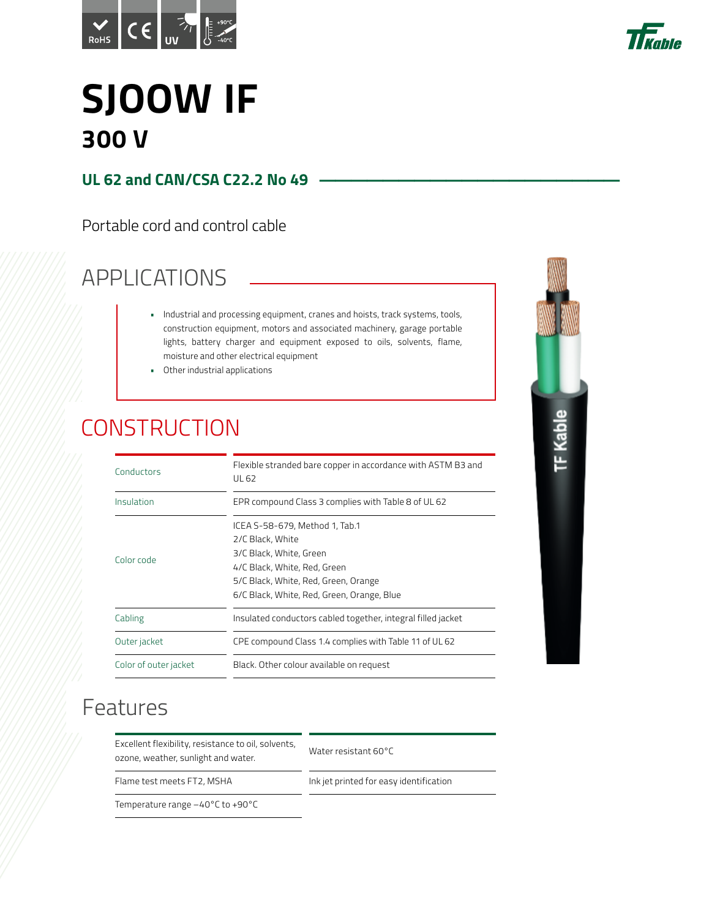



# **SJOOW IF 300 V**

### **UL 62 and CAN/CSA C22.2 No 49**

Portable cord and control cable

## APPLICATIONS

- Industrial and processing equipment, cranes and hoists, track systems, tools, construction equipment, motors and associated machinery, garage portable lights, battery charger and equipment exposed to oils, solvents, flame, moisture and other electrical equipment
- Other industrial applications

### **CONSTRUCTION**

| Conductors            | Flexible stranded bare copper in accordance with ASTM B3 and<br>UL 62                                                                                                                               |
|-----------------------|-----------------------------------------------------------------------------------------------------------------------------------------------------------------------------------------------------|
| Insulation            | EPR compound Class 3 complies with Table 8 of UL 62                                                                                                                                                 |
| Color code            | ICEA S-58-679, Method 1, Tab.1<br>2/C Black, White<br>3/C Black, White, Green<br>4/C Black, White, Red, Green<br>5/C Black, White, Red, Green, Orange<br>6/C Black, White, Red, Green, Orange, Blue |
| Cabling               | Insulated conductors cabled together, integral filled jacket                                                                                                                                        |
| Outer jacket          | CPE compound Class 1.4 complies with Table 11 of UL 62                                                                                                                                              |
| Color of outer jacket | Black. Other colour available on request                                                                                                                                                            |

# **TF Kable**

### Features

Excellent flexibility, resistance to oil, solvents, ozone, weather, sunlight and water.

Water resistant 60°C

Flame test meets FT2, MSHA Ink jet printed for easy identification

Temperature range –40°C to +90°C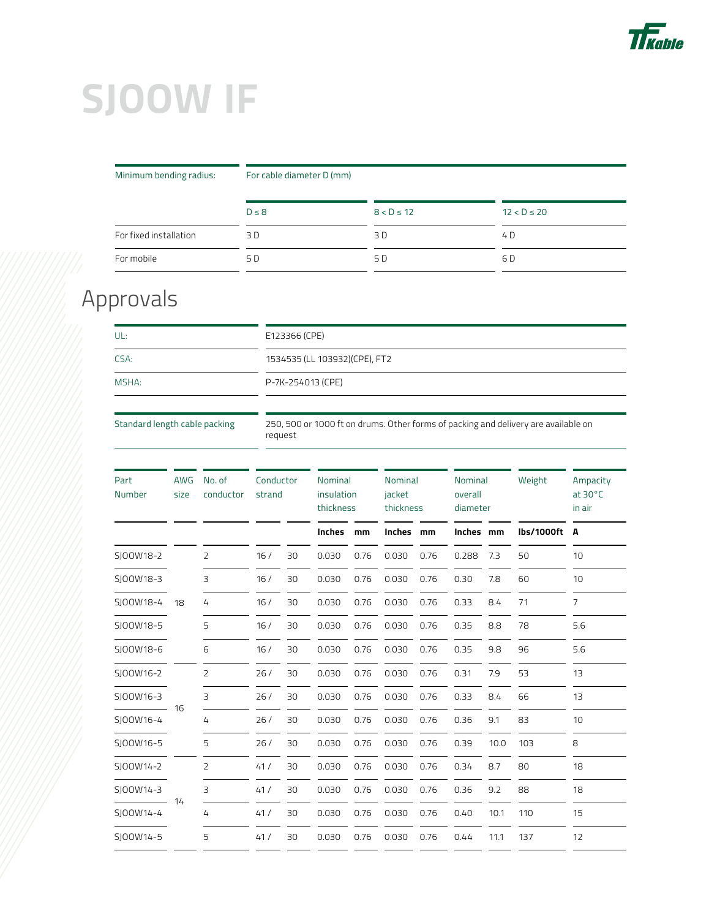

# **SJOOW IF**

Minimum bending radius: For cable diameter D (mm)

|                        | $D \leq 8$ | $8 < D \le 12$ | $12 < D \le 20$ |
|------------------------|------------|----------------|-----------------|
| For fixed installation | 3 D        | 3 D            | 4 D             |
| For mobile             | 5 D        | 5 D            | 6 D             |

### Approvals

| UL:   | E123366 (CPE)                  |  |  |  |  |  |
|-------|--------------------------------|--|--|--|--|--|
| CSA:  | 1534535 (LL 103932) (CPE), FT2 |  |  |  |  |  |
| MSHA: | P-7K-254013 (CPE)              |  |  |  |  |  |
|       |                                |  |  |  |  |  |

Standard length cable packing 250, 500 or 1000 ft on drums. Other forms of packing and delivery are available on request

| Part<br>Number | <b>AWG</b><br>size | No. of<br>conductor | Conductor<br>strand |    | Nominal<br>insulation<br>thickness |      | <b>Nominal</b><br>jacket<br>thickness |      | Nominal<br>overall<br>diameter |      | Weight     | Ampacity<br>at $30^{\circ}$ C<br>in air |
|----------------|--------------------|---------------------|---------------------|----|------------------------------------|------|---------------------------------------|------|--------------------------------|------|------------|-----------------------------------------|
|                |                    |                     |                     |    | <b>Inches</b>                      | mm   | Inches                                | mm   | Inches                         | mm   | lbs/1000ft | A                                       |
| SJ00W18-2      |                    | 2                   | 16/                 | 30 | 0.030                              | 0.76 | 0.030                                 | 0.76 | 0.288                          | 7.3  | 50         | 10                                      |
| SJ00W18-3      |                    | 3                   | 16/                 | 30 | 0.030                              | 0.76 | 0.030                                 | 0.76 | 0.30                           | 7.8  | 60         | 10                                      |
| SJ00W18-4      | 18                 | 4                   | 16/                 | 30 | 0.030                              | 0.76 | 0.030                                 | 0.76 | 0.33                           | 8.4  | 71         | $\overline{7}$                          |
| SJ00W18-5      |                    | 5                   | 16/                 | 30 | 0.030                              | 0.76 | 0.030                                 | 0.76 | 0.35                           | 8.8  | 78         | 5.6                                     |
| SI00W18-6      |                    | 6                   | 16/                 | 30 | 0.030                              | 0.76 | 0.030                                 | 0.76 | 0.35                           | 9.8  | 96         | 5.6                                     |
| SJ00W16-2      |                    | $\overline{2}$      | 26/                 | 30 | 0.030                              | 0.76 | 0.030                                 | 0.76 | 0.31                           | 7.9  | 53         | 13                                      |
| SJ00W16-3      |                    | 3                   | 26/                 | 30 | 0.030                              | 0.76 | 0.030                                 | 0.76 | 0.33                           | 8.4  | 66         | 13                                      |
| SJ00W16-4      | 16                 | 4                   | 26/                 | 30 | 0.030                              | 0.76 | 0.030                                 | 0.76 | 0.36                           | 9.1  | 83         | 10                                      |
| SJ00W16-5      |                    | 5                   | 26/                 | 30 | 0.030                              | 0.76 | 0.030                                 | 0.76 | 0.39                           | 10.0 | 103        | 8                                       |
| SI00W14-2      |                    | 2                   | 41/                 | 30 | 0.030                              | 0.76 | 0.030                                 | 0.76 | 0.34                           | 8.7  | 80         | 18                                      |
| SJ00W14-3      |                    | 3                   | 41/                 | 30 | 0.030                              | 0.76 | 0.030                                 | 0.76 | 0.36                           | 9.2  | 88         | 18                                      |
| SJ00W14-4      | 14                 | 4                   | 41/                 | 30 | 0.030                              | 0.76 | 0.030                                 | 0.76 | 0.40                           | 10.1 | 110        | 15                                      |
| SI00W14-5      |                    | 5                   | 41/                 | 30 | 0.030                              | 0.76 | 0.030                                 | 0.76 | 0.44                           | 11.1 | 137        | 12                                      |